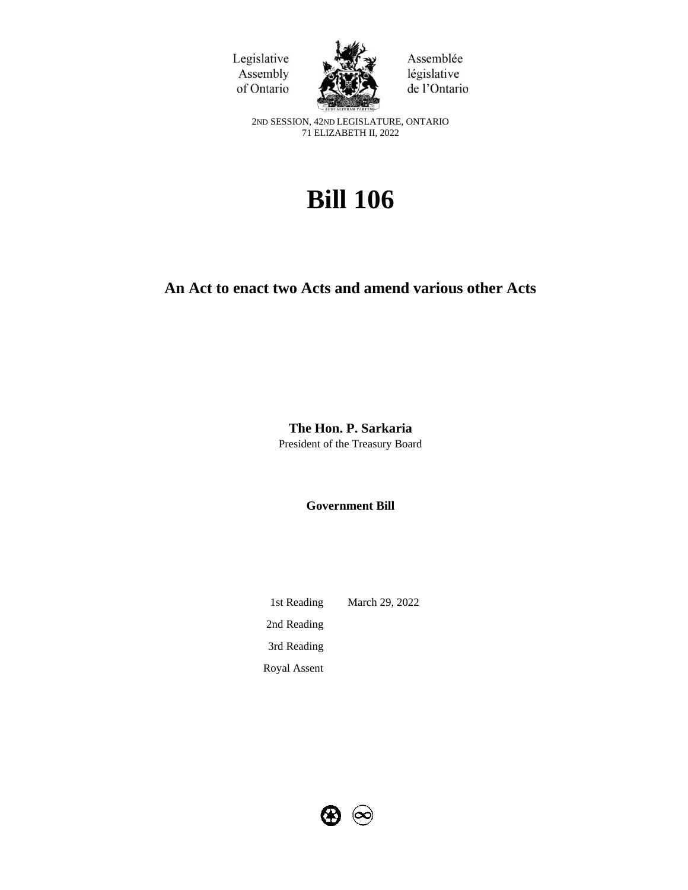



Assemblée législative de l'Ontario

2ND SESSION, 42ND LEGISLATURE, ONTARIO 71 ELIZABETH II, 2022

# **Bill 106**

# **An Act to enact two Acts and amend various other Acts**

**The Hon. P. Sarkaria** President of the Treasury Board

**Government Bill**

1st Reading March 29, 2022 2nd Reading 3rd Reading Royal Assent

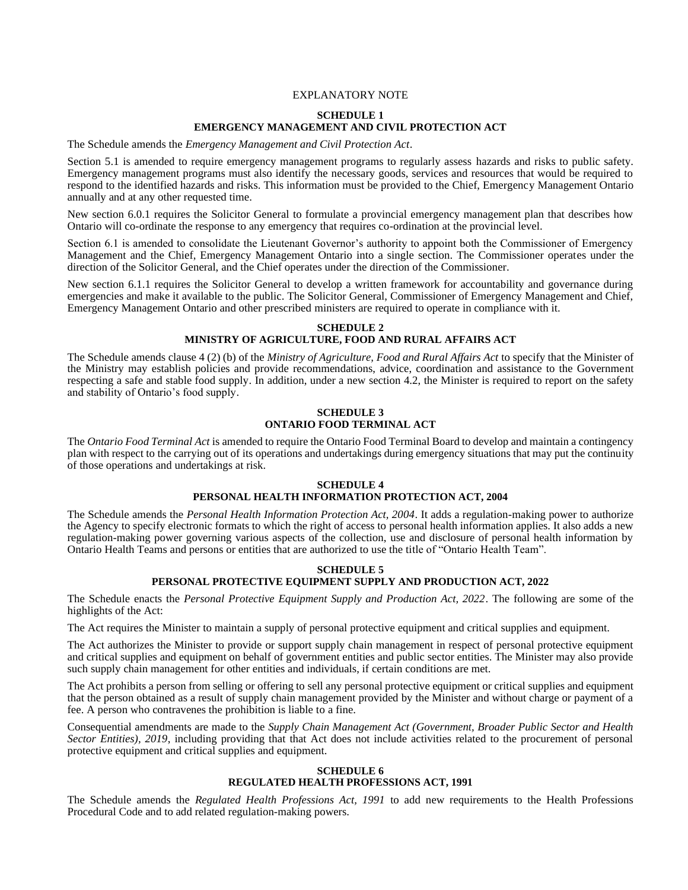#### EXPLANATORY NOTE

# **SCHEDULE 1 EMERGENCY MANAGEMENT AND CIVIL PROTECTION ACT**

The Schedule amends the *Emergency Management and Civil Protection Act*.

Section 5.1 is amended to require emergency management programs to regularly assess hazards and risks to public safety. Emergency management programs must also identify the necessary goods, services and resources that would be required to respond to the identified hazards and risks. This information must be provided to the Chief, Emergency Management Ontario annually and at any other requested time.

New section 6.0.1 requires the Solicitor General to formulate a provincial emergency management plan that describes how Ontario will co-ordinate the response to any emergency that requires co-ordination at the provincial level.

Section 6.1 is amended to consolidate the Lieutenant Governor's authority to appoint both the Commissioner of Emergency Management and the Chief, Emergency Management Ontario into a single section. The Commissioner operates under the direction of the Solicitor General, and the Chief operates under the direction of the Commissioner.

New section 6.1.1 requires the Solicitor General to develop a written framework for accountability and governance during emergencies and make it available to the public. The Solicitor General, Commissioner of Emergency Management and Chief, Emergency Management Ontario and other prescribed ministers are required to operate in compliance with it.

## **SCHEDULE 2 MINISTRY OF AGRICULTURE, FOOD AND RURAL AFFAIRS ACT**

The Schedule amends clause 4 (2) (b) of the *Ministry of Agriculture, Food and Rural Affairs Act* to specify that the Minister of the Ministry may establish policies and provide recommendations, advice, coordination and assistance to the Government respecting a safe and stable food supply. In addition, under a new section 4.2, the Minister is required to report on the safety and stability of Ontario's food supply.

# **SCHEDULE 3 ONTARIO FOOD TERMINAL ACT**

The *Ontario Food Terminal Act* is amended to require the Ontario Food Terminal Board to develop and maintain a contingency plan with respect to the carrying out of its operations and undertakings during emergency situations that may put the continuity of those operations and undertakings at risk.

# **SCHEDULE 4 PERSONAL HEALTH INFORMATION PROTECTION ACT, 2004**

The Schedule amends the *Personal Health Information Protection Act, 2004*. It adds a regulation-making power to authorize the Agency to specify electronic formats to which the right of access to personal health information applies. It also adds a new regulation-making power governing various aspects of the collection, use and disclosure of personal health information by Ontario Health Teams and persons or entities that are authorized to use the title of "Ontario Health Team".

# **SCHEDULE 5 PERSONAL PROTECTIVE EQUIPMENT SUPPLY AND PRODUCTION ACT, 2022**

The Schedule enacts the *Personal Protective Equipment Supply and Production Act, 2022*. The following are some of the highlights of the Act:

The Act requires the Minister to maintain a supply of personal protective equipment and critical supplies and equipment.

The Act authorizes the Minister to provide or support supply chain management in respect of personal protective equipment and critical supplies and equipment on behalf of government entities and public sector entities. The Minister may also provide such supply chain management for other entities and individuals, if certain conditions are met.

The Act prohibits a person from selling or offering to sell any personal protective equipment or critical supplies and equipment that the person obtained as a result of supply chain management provided by the Minister and without charge or payment of a fee. A person who contravenes the prohibition is liable to a fine.

Consequential amendments are made to the *Supply Chain Management Act (Government, Broader Public Sector and Health Sector Entities), 2019*, including providing that that Act does not include activities related to the procurement of personal protective equipment and critical supplies and equipment.

#### **SCHEDULE 6 REGULATED HEALTH PROFESSIONS ACT, 1991**

The Schedule amends the *Regulated Health Professions Act, 1991* to add new requirements to the Health Professions Procedural Code and to add related regulation-making powers.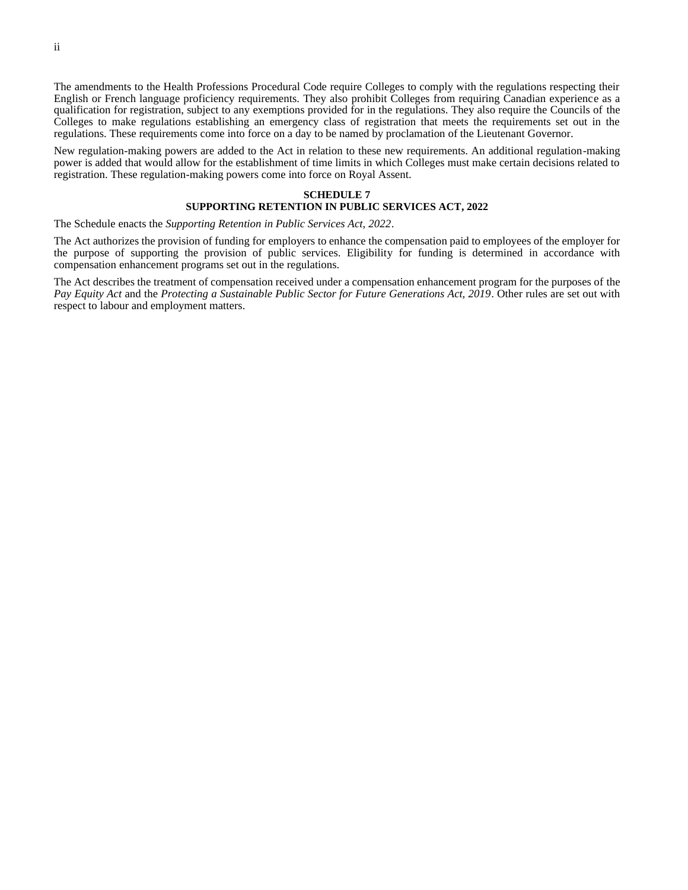The amendments to the Health Professions Procedural Code require Colleges to comply with the regulations respecting their English or French language proficiency requirements. They also prohibit Colleges from requiring Canadian experience as a qualification for registration, subject to any exemptions provided for in the regulations. They also require the Councils of the Colleges to make regulations establishing an emergency class of registration that meets the requirements set out in the regulations. These requirements come into force on a day to be named by proclamation of the Lieutenant Governor.

New regulation-making powers are added to the Act in relation to these new requirements. An additional regulation-making power is added that would allow for the establishment of time limits in which Colleges must make certain decisions related to registration. These regulation-making powers come into force on Royal Assent.

#### **SCHEDULE 7**

# **SUPPORTING RETENTION IN PUBLIC SERVICES ACT, 2022**

#### The Schedule enacts the *Supporting Retention in Public Services Act, 2022*.

The Act authorizes the provision of funding for employers to enhance the compensation paid to employees of the employer for the purpose of supporting the provision of public services. Eligibility for funding is determined in accordance with compensation enhancement programs set out in the regulations.

The Act describes the treatment of compensation received under a compensation enhancement program for the purposes of the *Pay Equity Act* and the *Protecting a Sustainable Public Sector for Future Generations Act, 2019*. Other rules are set out with respect to labour and employment matters.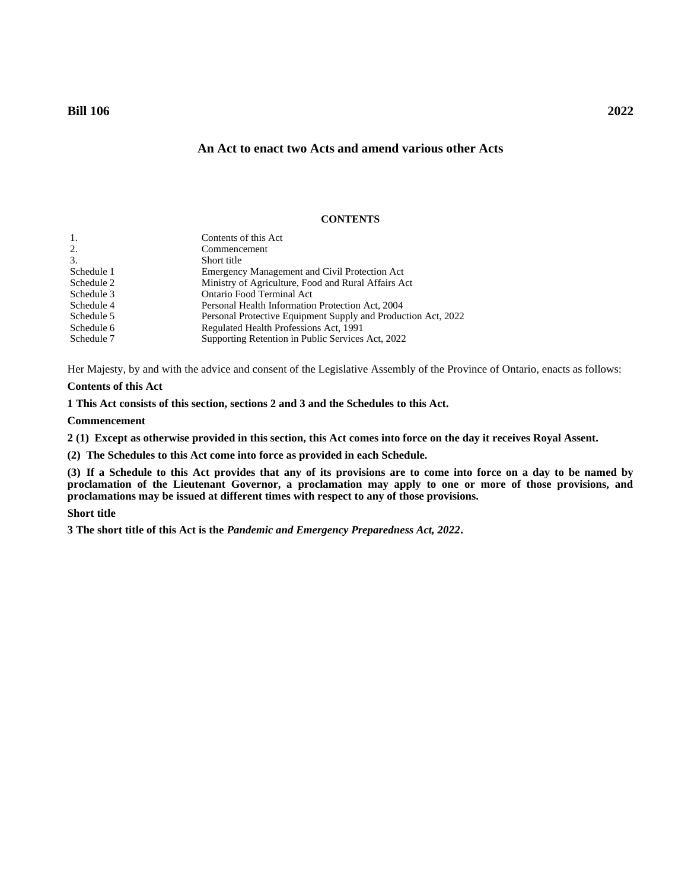# **An Act to enact two Acts and amend various other Acts**

# **CONTENTS**

| Contents of this Act                                          |
|---------------------------------------------------------------|
| Commencement                                                  |
| Short title                                                   |
| Emergency Management and Civil Protection Act                 |
| Ministry of Agriculture, Food and Rural Affairs Act           |
| Ontario Food Terminal Act                                     |
| Personal Health Information Protection Act, 2004              |
| Personal Protective Equipment Supply and Production Act, 2022 |
| Regulated Health Professions Act, 1991                        |
| Supporting Retention in Public Services Act, 2022             |
|                                                               |

Her Majesty, by and with the advice and consent of the Legislative Assembly of the Province of Ontario, enacts as follows:

# **Contents of this Act**

<span id="page-4-0"></span>**1 This Act consists of this section, sections 2 and 3 and the Schedules to this Act.**

#### **Commencement**

<span id="page-4-1"></span>**2 (1) Except as otherwise provided in this section, this Act comes into force on the day it receives Royal Assent.**

**(2) The Schedules to this Act come into force as provided in each Schedule.**

**(3) If a Schedule to this Act provides that any of its provisions are to come into force on a day to be named by proclamation of the Lieutenant Governor, a proclamation may apply to one or more of those provisions, and proclamations may be issued at different times with respect to any of those provisions.**

#### **Short title**

<span id="page-4-2"></span>**3 The short title of this Act is the** *Pandemic and Emergency Preparedness Act, 2022***.**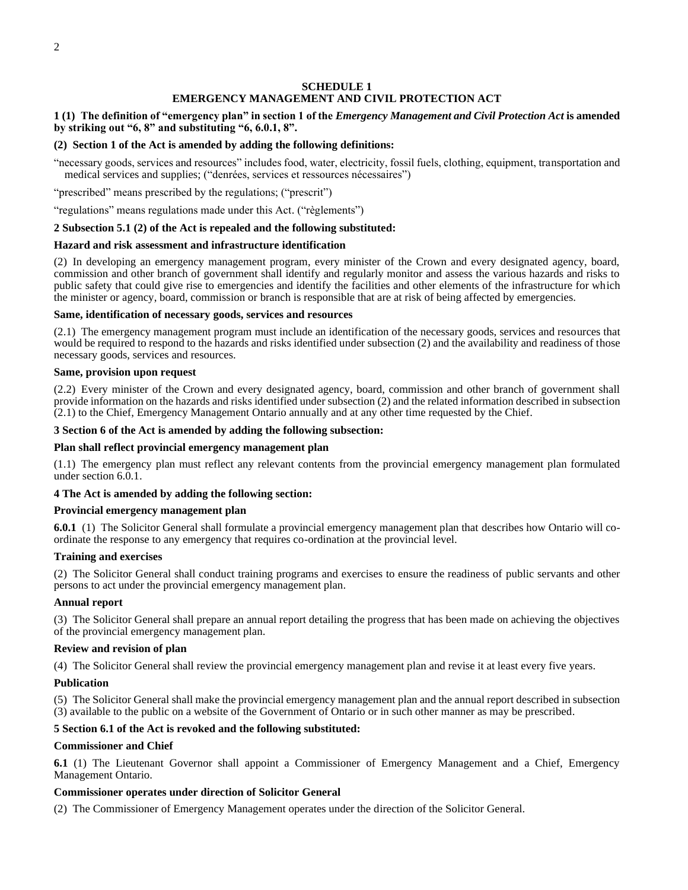# **SCHEDULE 1 EMERGENCY MANAGEMENT AND CIVIL PROTECTION ACT**

# <span id="page-5-0"></span>**1 (1) The definition of "emergency plan" in section 1 of the** *Emergency Management and Civil Protection Act* **is amended by striking out "6, 8" and substituting "6, 6.0.1, 8".**

# **(2) Section 1 of the Act is amended by adding the following definitions:**

"necessary goods, services and resources" includes food, water, electricity, fossil fuels, clothing, equipment, transportation and medical services and supplies; ("denrées, services et ressources nécessaires")

"prescribed" means prescribed by the regulations; ("prescrit")

"regulations" means regulations made under this Act. ("règlements")

# **2 Subsection 5.1 (2) of the Act is repealed and the following substituted:**

#### **Hazard and risk assessment and infrastructure identification**

(2) In developing an emergency management program, every minister of the Crown and every designated agency, board, commission and other branch of government shall identify and regularly monitor and assess the various hazards and risks to public safety that could give rise to emergencies and identify the facilities and other elements of the infrastructure for which the minister or agency, board, commission or branch is responsible that are at risk of being affected by emergencies.

#### **Same, identification of necessary goods, services and resources**

(2.1) The emergency management program must include an identification of the necessary goods, services and resources that would be required to respond to the hazards and risks identified under subsection (2) and the availability and readiness of those necessary goods, services and resources.

#### **Same, provision upon request**

(2.2) Every minister of the Crown and every designated agency, board, commission and other branch of government shall provide information on the hazards and risks identified under subsection (2) and the related information described in subsection (2.1) to the Chief, Emergency Management Ontario annually and at any other time requested by the Chief.

#### **3 Section 6 of the Act is amended by adding the following subsection:**

#### **Plan shall reflect provincial emergency management plan**

(1.1) The emergency plan must reflect any relevant contents from the provincial emergency management plan formulated under section 6.0.1.

# **4 The Act is amended by adding the following section:**

#### **Provincial emergency management plan**

**6.0.1** (1) The Solicitor General shall formulate a provincial emergency management plan that describes how Ontario will coordinate the response to any emergency that requires co-ordination at the provincial level.

#### **Training and exercises**

(2) The Solicitor General shall conduct training programs and exercises to ensure the readiness of public servants and other persons to act under the provincial emergency management plan.

#### **Annual report**

(3) The Solicitor General shall prepare an annual report detailing the progress that has been made on achieving the objectives of the provincial emergency management plan.

#### **Review and revision of plan**

(4) The Solicitor General shall review the provincial emergency management plan and revise it at least every five years.

# **Publication**

(5) The Solicitor General shall make the provincial emergency management plan and the annual report described in subsection (3) available to the public on a website of the Government of Ontario or in such other manner as may be prescribed.

# **5 Section 6.1 of the Act is revoked and the following substituted:**

#### **Commissioner and Chief**

**6.1** (1) The Lieutenant Governor shall appoint a Commissioner of Emergency Management and a Chief, Emergency Management Ontario.

# **Commissioner operates under direction of Solicitor General**

(2) The Commissioner of Emergency Management operates under the direction of the Solicitor General.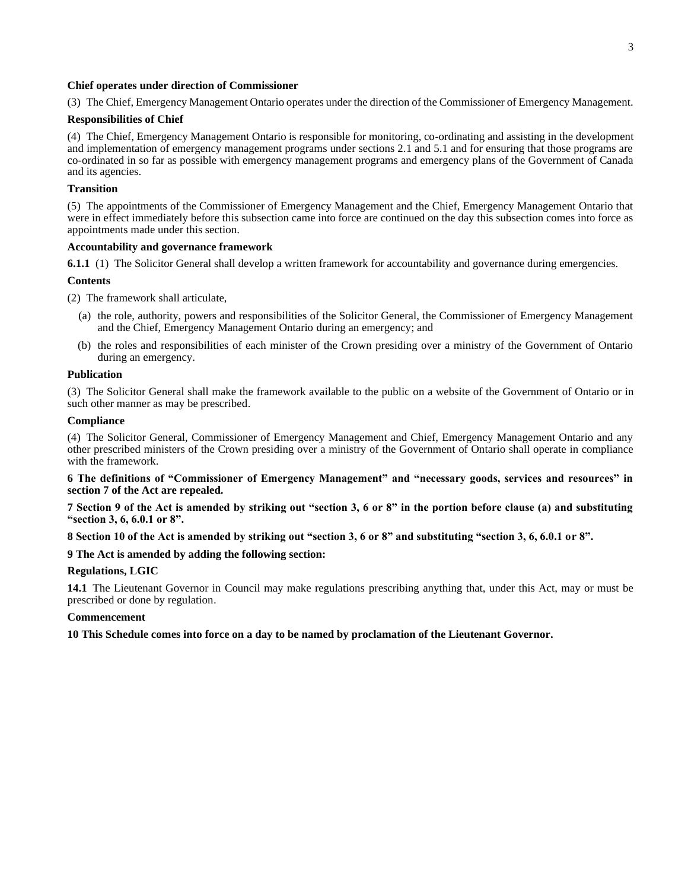#### **Chief operates under direction of Commissioner**

(3) The Chief, Emergency Management Ontario operates under the direction of the Commissioner of Emergency Management.

#### **Responsibilities of Chief**

(4) The Chief, Emergency Management Ontario is responsible for monitoring, co-ordinating and assisting in the development and implementation of emergency management programs under sections 2.1 and 5.1 and for ensuring that those programs are co-ordinated in so far as possible with emergency management programs and emergency plans of the Government of Canada and its agencies.

#### **Transition**

(5) The appointments of the Commissioner of Emergency Management and the Chief, Emergency Management Ontario that were in effect immediately before this subsection came into force are continued on the day this subsection comes into force as appointments made under this section.

# **Accountability and governance framework**

**6.1.1** (1) The Solicitor General shall develop a written framework for accountability and governance during emergencies.

#### **Contents**

(2) The framework shall articulate,

- (a) the role, authority, powers and responsibilities of the Solicitor General, the Commissioner of Emergency Management and the Chief, Emergency Management Ontario during an emergency; and
- (b) the roles and responsibilities of each minister of the Crown presiding over a ministry of the Government of Ontario during an emergency.

#### **Publication**

(3) The Solicitor General shall make the framework available to the public on a website of the Government of Ontario or in such other manner as may be prescribed.

#### **Compliance**

(4) The Solicitor General, Commissioner of Emergency Management and Chief, Emergency Management Ontario and any other prescribed ministers of the Crown presiding over a ministry of the Government of Ontario shall operate in compliance with the framework.

**6 The definitions of "Commissioner of Emergency Management" and "necessary goods, services and resources" in section 7 of the Act are repealed.**

**7 Section 9 of the Act is amended by striking out "section 3, 6 or 8" in the portion before clause (a) and substituting "section 3, 6, 6.0.1 or 8".**

**8 Section 10 of the Act is amended by striking out "section 3, 6 or 8" and substituting "section 3, 6, 6.0.1 or 8".**

# **9 The Act is amended by adding the following section:**

# **Regulations, LGIC**

**14.1** The Lieutenant Governor in Council may make regulations prescribing anything that, under this Act, may or must be prescribed or done by regulation.

#### **Commencement**

**10 This Schedule comes into force on a day to be named by proclamation of the Lieutenant Governor.**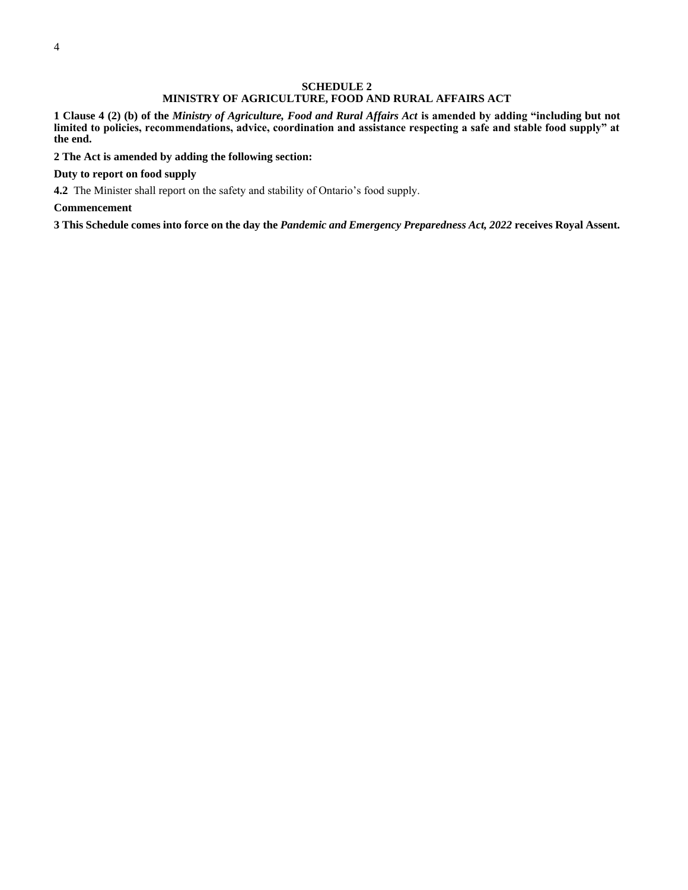#### **SCHEDULE 2 MINISTRY OF AGRICULTURE, FOOD AND RURAL AFFAIRS ACT**

<span id="page-7-0"></span>**1 Clause 4 (2) (b) of the** *Ministry of Agriculture, Food and Rural Affairs Act* **is amended by adding "including but not limited to policies, recommendations, advice, coordination and assistance respecting a safe and stable food supply" at the end.**

**2 The Act is amended by adding the following section:**

**Duty to report on food supply**

**4.2** The Minister shall report on the safety and stability of Ontario's food supply.

**Commencement**

**3 This Schedule comes into force on the day the** *Pandemic and Emergency Preparedness Act, 2022* **receives Royal Assent.**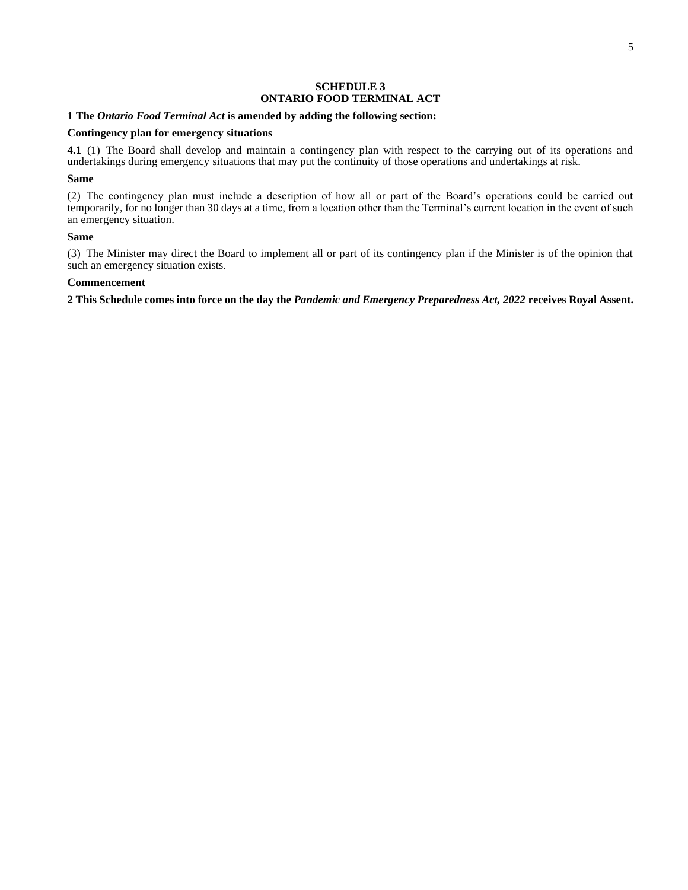# **SCHEDULE 3 ONTARIO FOOD TERMINAL ACT**

#### <span id="page-8-0"></span>**1 The** *Ontario Food Terminal Act* **is amended by adding the following section:**

#### **Contingency plan for emergency situations**

**4.1** (1) The Board shall develop and maintain a contingency plan with respect to the carrying out of its operations and undertakings during emergency situations that may put the continuity of those operations and undertakings at risk.

# **Same**

(2) The contingency plan must include a description of how all or part of the Board's operations could be carried out temporarily, for no longer than 30 days at a time, from a location other than the Terminal's current location in the event of such an emergency situation.

## **Same**

(3) The Minister may direct the Board to implement all or part of its contingency plan if the Minister is of the opinion that such an emergency situation exists.

#### **Commencement**

**2 This Schedule comes into force on the day the** *Pandemic and Emergency Preparedness Act, 2022* **receives Royal Assent.**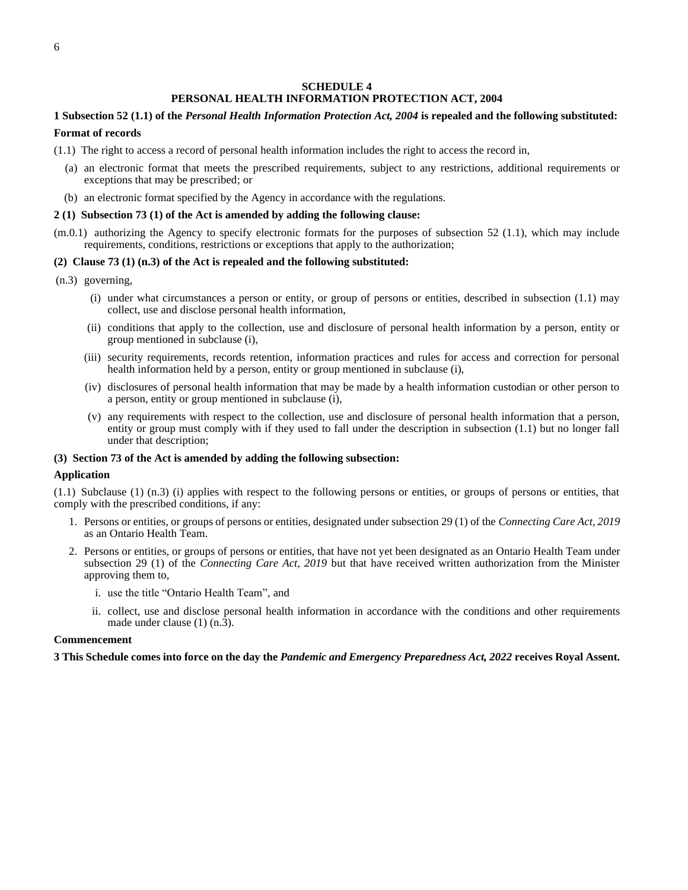# **SCHEDULE 4 PERSONAL HEALTH INFORMATION PROTECTION ACT, 2004**

# <span id="page-9-0"></span>**1 Subsection 52 (1.1) of the** *Personal Health Information Protection Act, 2004* **is repealed and the following substituted:**

# **Format of records**

- (1.1) The right to access a record of personal health information includes the right to access the record in,
	- (a) an electronic format that meets the prescribed requirements, subject to any restrictions, additional requirements or exceptions that may be prescribed; or
	- (b) an electronic format specified by the Agency in accordance with the regulations.

#### **2 (1) Subsection 73 (1) of the Act is amended by adding the following clause:**

(m.0.1) authorizing the Agency to specify electronic formats for the purposes of subsection 52 (1.1), which may include requirements, conditions, restrictions or exceptions that apply to the authorization;

#### **(2) Clause 73 (1) (n.3) of the Act is repealed and the following substituted:**

- (n.3) governing,
	- (i) under what circumstances a person or entity, or group of persons or entities, described in subsection (1.1) may collect, use and disclose personal health information,
	- (ii) conditions that apply to the collection, use and disclosure of personal health information by a person, entity or group mentioned in subclause (i),
	- (iii) security requirements, records retention, information practices and rules for access and correction for personal health information held by a person, entity or group mentioned in subclause (i),
	- (iv) disclosures of personal health information that may be made by a health information custodian or other person to a person, entity or group mentioned in subclause (i),
	- (v) any requirements with respect to the collection, use and disclosure of personal health information that a person, entity or group must comply with if they used to fall under the description in subsection (1.1) but no longer fall under that description;

#### **(3) Section 73 of the Act is amended by adding the following subsection:**

#### **Application**

(1.1) Subclause (1) (n.3) (i) applies with respect to the following persons or entities, or groups of persons or entities, that comply with the prescribed conditions, if any:

- 1. Persons or entities, or groups of persons or entities, designated under subsection 29 (1) of the *Connecting Care Act, 2019* as an Ontario Health Team.
- 2. Persons or entities, or groups of persons or entities, that have not yet been designated as an Ontario Health Team under subsection 29 (1) of the *Connecting Care Act, 2019* but that have received written authorization from the Minister approving them to,
	- i. use the title "Ontario Health Team", and
	- ii. collect, use and disclose personal health information in accordance with the conditions and other requirements made under clause  $(1)$   $(n.\overline{3})$ .

#### **Commencement**

**3 This Schedule comes into force on the day the** *Pandemic and Emergency Preparedness Act, 2022* **receives Royal Assent.**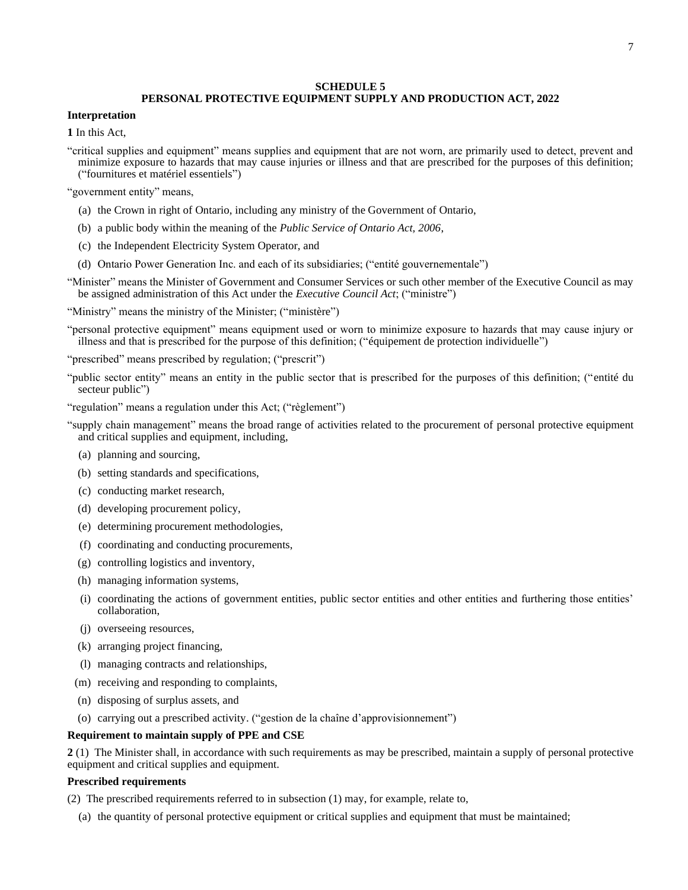#### **SCHEDULE 5**

# **PERSONAL PROTECTIVE EQUIPMENT SUPPLY AND PRODUCTION ACT, 2022**

# <span id="page-10-0"></span>**Interpretation**

**1** In this Act,

"critical supplies and equipment" means supplies and equipment that are not worn, are primarily used to detect, prevent and minimize exposure to hazards that may cause injuries or illness and that are prescribed for the purposes of this definition; ("fournitures et matériel essentiels")

"government entity" means,

- (a) the Crown in right of Ontario, including any ministry of the Government of Ontario,
- (b) a public body within the meaning of the *Public Service of Ontario Act, 2006*,
- (c) the Independent Electricity System Operator, and
- (d) Ontario Power Generation Inc. and each of its subsidiaries; ("entité gouvernementale")
- "Minister" means the Minister of Government and Consumer Services or such other member of the Executive Council as may be assigned administration of this Act under the *Executive Council Act*; ("ministre")

"Ministry" means the ministry of the Minister; ("ministère")

"personal protective equipment" means equipment used or worn to minimize exposure to hazards that may cause injury or illness and that is prescribed for the purpose of this definition; ("équipement de protection individuelle")

"prescribed" means prescribed by regulation; ("prescrit")

"public sector entity" means an entity in the public sector that is prescribed for the purposes of this definition; ("entité du secteur public")

- "regulation" means a regulation under this Act; ("règlement")
- "supply chain management" means the broad range of activities related to the procurement of personal protective equipment and critical supplies and equipment, including,
	- (a) planning and sourcing,
	- (b) setting standards and specifications,
	- (c) conducting market research,
	- (d) developing procurement policy,
	- (e) determining procurement methodologies,
	- (f) coordinating and conducting procurements,
	- (g) controlling logistics and inventory,
	- (h) managing information systems,
	- (i) coordinating the actions of government entities, public sector entities and other entities and furthering those entities' collaboration,
	- (j) overseeing resources,
	- (k) arranging project financing,
	- (l) managing contracts and relationships,
	- (m) receiving and responding to complaints,
	- (n) disposing of surplus assets, and
	- (o) carrying out a prescribed activity. ("gestion de la chaîne d'approvisionnement")

# **Requirement to maintain supply of PPE and CSE**

**2** (1) The Minister shall, in accordance with such requirements as may be prescribed, maintain a supply of personal protective equipment and critical supplies and equipment.

#### **Prescribed requirements**

(2) The prescribed requirements referred to in subsection (1) may, for example, relate to,

(a) the quantity of personal protective equipment or critical supplies and equipment that must be maintained;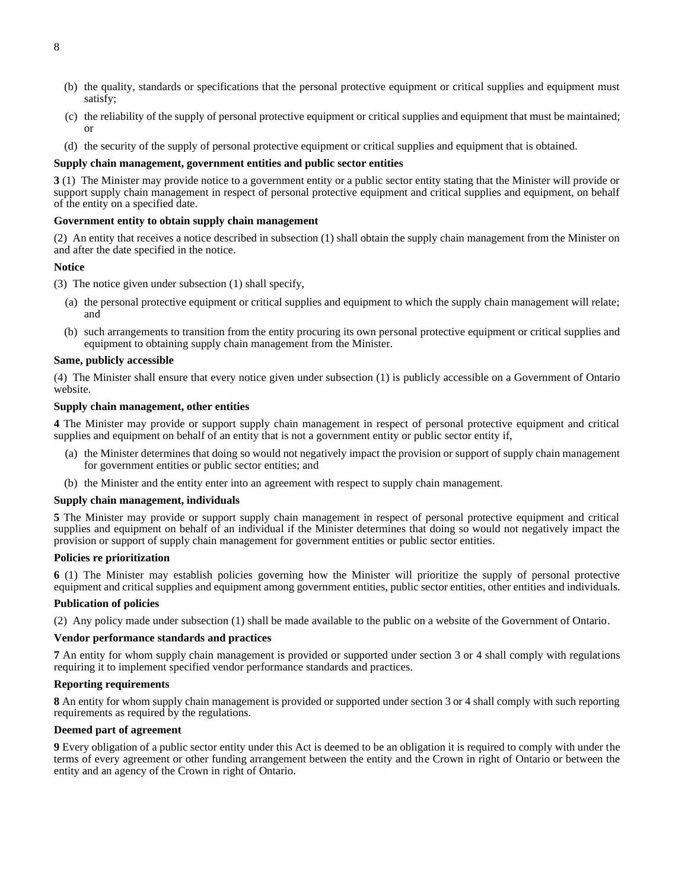- (b) the quality, standards or specifications that the personal protective equipment or critical supplies and equipment must satisfy;
- (c) the reliability of the supply of personal protective equipment or critical supplies and equipment that must be maintained; or
- (d) the security of the supply of personal protective equipment or critical supplies and equipment that is obtained.

#### **Supply chain management, government entities and public sector entities**

**3** (1) The Minister may provide notice to a government entity or a public sector entity stating that the Minister will provide or support supply chain management in respect of personal protective equipment and critical supplies and equipment, on behalf of the entity on a specified date.

# **Government entity to obtain supply chain management**

(2) An entity that receives a notice described in subsection (1) shall obtain the supply chain management from the Minister on and after the date specified in the notice.

#### **Notice**

- (3) The notice given under subsection (1) shall specify,
	- (a) the personal protective equipment or critical supplies and equipment to which the supply chain management will relate; and
	- (b) such arrangements to transition from the entity procuring its own personal protective equipment or critical supplies and equipment to obtaining supply chain management from the Minister.

#### **Same, publicly accessible**

(4) The Minister shall ensure that every notice given under subsection (1) is publicly accessible on a Government of Ontario website.

#### **Supply chain management, other entities**

**4** The Minister may provide or support supply chain management in respect of personal protective equipment and critical supplies and equipment on behalf of an entity that is not a government entity or public sector entity if,

- (a) the Minister determines that doing so would not negatively impact the provision or support of supply chain management for government entities or public sector entities; and
- (b) the Minister and the entity enter into an agreement with respect to supply chain management.

#### **Supply chain management, individuals**

**5** The Minister may provide or support supply chain management in respect of personal protective equipment and critical supplies and equipment on behalf of an individual if the Minister determines that doing so would not negatively impact the provision or support of supply chain management for government entities or public sector entities.

#### **Policies re prioritization**

**6** (1) The Minister may establish policies governing how the Minister will prioritize the supply of personal protective equipment and critical supplies and equipment among government entities, public sector entities, other entities and individuals.

#### **Publication of policies**

(2) Any policy made under subsection (1) shall be made available to the public on a website of the Government of Ontario.

#### **Vendor performance standards and practices**

**7** An entity for whom supply chain management is provided or supported under section 3 or 4 shall comply with regulations requiring it to implement specified vendor performance standards and practices.

# **Reporting requirements**

**8** An entity for whom supply chain management is provided or supported under section 3 or 4 shall comply with such reporting requirements as required by the regulations.

# **Deemed part of agreement**

**9** Every obligation of a public sector entity under this Act is deemed to be an obligation it is required to comply with under the terms of every agreement or other funding arrangement between the entity and the Crown in right of Ontario or between the entity and an agency of the Crown in right of Ontario.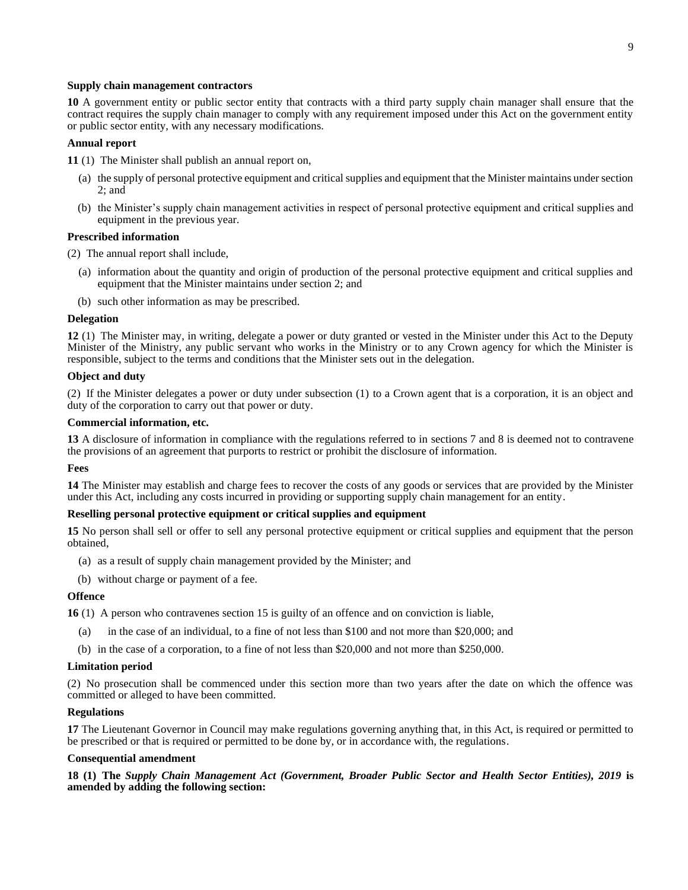#### **Supply chain management contractors**

**10** A government entity or public sector entity that contracts with a third party supply chain manager shall ensure that the contract requires the supply chain manager to comply with any requirement imposed under this Act on the government entity or public sector entity, with any necessary modifications.

## **Annual report**

- **11** (1) The Minister shall publish an annual report on,
	- (a) the supply of personal protective equipment and critical supplies and equipment that the Minister maintains under section 2; and
	- (b) the Minister's supply chain management activities in respect of personal protective equipment and critical supplies and equipment in the previous year.

#### **Prescribed information**

(2) The annual report shall include,

- (a) information about the quantity and origin of production of the personal protective equipment and critical supplies and equipment that the Minister maintains under section 2; and
- (b) such other information as may be prescribed.

#### **Delegation**

**12** (1) The Minister may, in writing, delegate a power or duty granted or vested in the Minister under this Act to the Deputy Minister of the Ministry, any public servant who works in the Ministry or to any Crown agency for which the Minister is responsible, subject to the terms and conditions that the Minister sets out in the delegation.

#### **Object and duty**

(2) If the Minister delegates a power or duty under subsection (1) to a Crown agent that is a corporation, it is an object and duty of the corporation to carry out that power or duty.

#### **Commercial information, etc.**

**13** A disclosure of information in compliance with the regulations referred to in sections 7 and 8 is deemed not to contravene the provisions of an agreement that purports to restrict or prohibit the disclosure of information.

#### **Fees**

**14** The Minister may establish and charge fees to recover the costs of any goods or services that are provided by the Minister under this Act, including any costs incurred in providing or supporting supply chain management for an entity.

# **Reselling personal protective equipment or critical supplies and equipment**

**15** No person shall sell or offer to sell any personal protective equipment or critical supplies and equipment that the person obtained,

- (a) as a result of supply chain management provided by the Minister; and
- (b) without charge or payment of a fee.

#### **Offence**

**16** (1) A person who contravenes section 15 is guilty of an offence and on conviction is liable,

- (a) in the case of an individual, to a fine of not less than \$100 and not more than \$20,000; and
- (b) in the case of a corporation, to a fine of not less than \$20,000 and not more than \$250,000.

#### **Limitation period**

(2) No prosecution shall be commenced under this section more than two years after the date on which the offence was committed or alleged to have been committed.

#### **Regulations**

**17** The Lieutenant Governor in Council may make regulations governing anything that, in this Act, is required or permitted to be prescribed or that is required or permitted to be done by, or in accordance with, the regulations.

#### **Consequential amendment**

**18 (1) The** *Supply Chain Management Act (Government, Broader Public Sector and Health Sector Entities), 2019* **is amended by adding the following section:**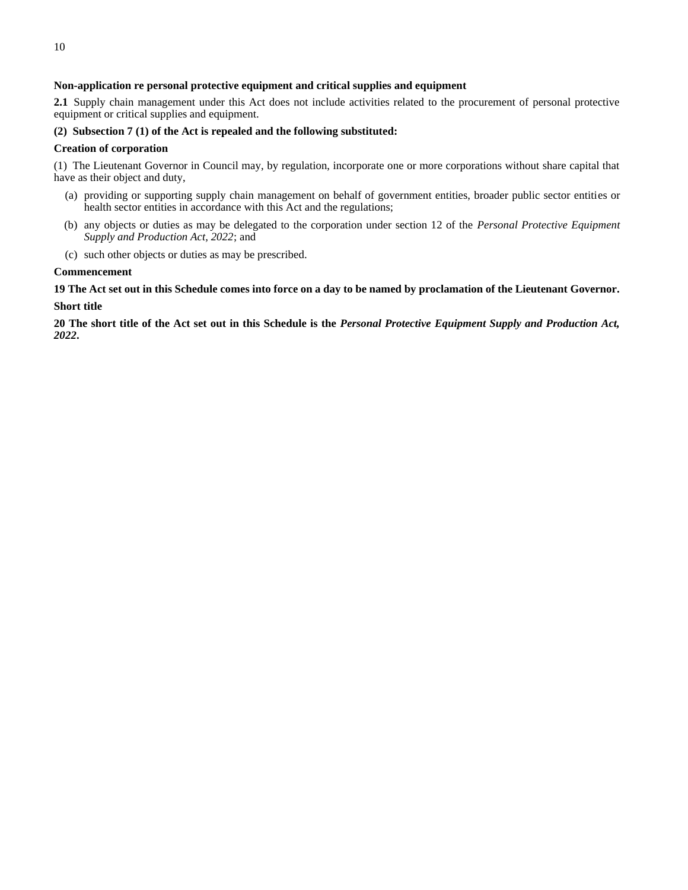# **Non-application re personal protective equipment and critical supplies and equipment**

**2.1** Supply chain management under this Act does not include activities related to the procurement of personal protective equipment or critical supplies and equipment.

# **(2) Subsection 7 (1) of the Act is repealed and the following substituted:**

# **Creation of corporation**

(1) The Lieutenant Governor in Council may, by regulation, incorporate one or more corporations without share capital that have as their object and duty,

- (a) providing or supporting supply chain management on behalf of government entities, broader public sector entities or health sector entities in accordance with this Act and the regulations;
- (b) any objects or duties as may be delegated to the corporation under section 12 of the *Personal Protective Equipment Supply and Production Act, 2022*; and
- (c) such other objects or duties as may be prescribed.

# **Commencement**

**19 The Act set out in this Schedule comes into force on a day to be named by proclamation of the Lieutenant Governor.**

#### **Short title**

**20 The short title of the Act set out in this Schedule is the** *Personal Protective Equipment Supply and Production Act, 2022***.**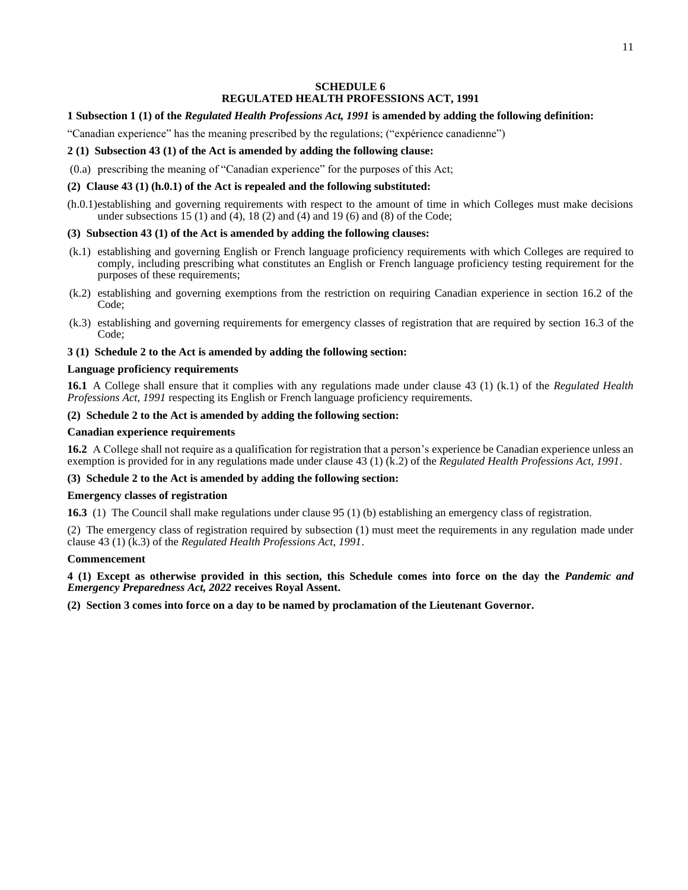# 11

# **SCHEDULE 6 REGULATED HEALTH PROFESSIONS ACT, 1991**

# <span id="page-14-0"></span>**1 Subsection 1 (1) of the** *Regulated Health Professions Act, 1991* **is amended by adding the following definition:**

"Canadian experience" has the meaning prescribed by the regulations; ("expérience canadienne")

# **2 (1) Subsection 43 (1) of the Act is amended by adding the following clause:**

(0.a) prescribing the meaning of "Canadian experience" for the purposes of this Act;

# **(2) Clause 43 (1) (h.0.1) of the Act is repealed and the following substituted:**

(h.0.1)establishing and governing requirements with respect to the amount of time in which Colleges must make decisions under subsections 15 (1) and (4), 18 (2) and (4) and 19 (6) and (8) of the Code;

# **(3) Subsection 43 (1) of the Act is amended by adding the following clauses:**

- (k.1) establishing and governing English or French language proficiency requirements with which Colleges are required to comply, including prescribing what constitutes an English or French language proficiency testing requirement for the purposes of these requirements;
- (k.2) establishing and governing exemptions from the restriction on requiring Canadian experience in section 16.2 of the Code;
- (k.3) establishing and governing requirements for emergency classes of registration that are required by section 16.3 of the Code;

# **3 (1) Schedule 2 to the Act is amended by adding the following section:**

# **Language proficiency requirements**

**16.1** A College shall ensure that it complies with any regulations made under clause 43 (1) (k.1) of the *Regulated Health Professions Act, 1991* respecting its English or French language proficiency requirements.

# **(2) Schedule 2 to the Act is amended by adding the following section:**

# **Canadian experience requirements**

**16.2** A College shall not require as a qualification for registration that a person's experience be Canadian experience unless an exemption is provided for in any regulations made under clause 43 (1) (k.2) of the *Regulated Health Professions Act, 1991*.

# **(3) Schedule 2 to the Act is amended by adding the following section:**

# **Emergency classes of registration**

**16.3** (1) The Council shall make regulations under clause 95 (1) (b) establishing an emergency class of registration.

(2) The emergency class of registration required by subsection (1) must meet the requirements in any regulation made under clause 43 (1) (k.3) of the *Regulated Health Professions Act, 1991*.

# **Commencement**

**4 (1) Except as otherwise provided in this section, this Schedule comes into force on the day the** *Pandemic and Emergency Preparedness Act, 2022* **receives Royal Assent.**

**(2) Section 3 comes into force on a day to be named by proclamation of the Lieutenant Governor.**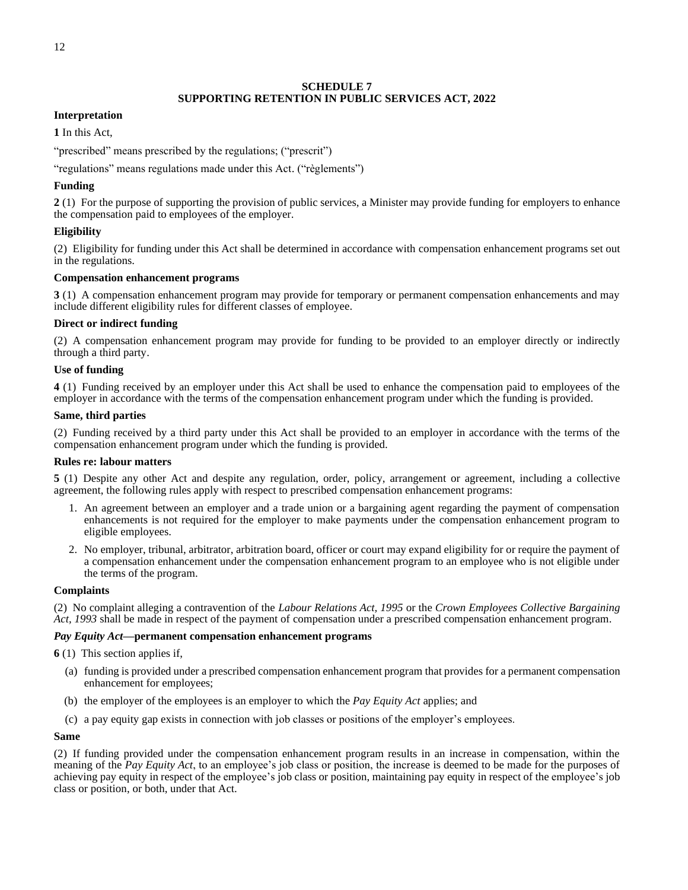# **SCHEDULE 7 SUPPORTING RETENTION IN PUBLIC SERVICES ACT, 2022**

# <span id="page-15-0"></span>**Interpretation**

**1** In this Act,

"prescribed" means prescribed by the regulations; ("prescrit")

"regulations" means regulations made under this Act. ("règlements")

# **Funding**

**2** (1) For the purpose of supporting the provision of public services, a Minister may provide funding for employers to enhance the compensation paid to employees of the employer.

# **Eligibility**

(2) Eligibility for funding under this Act shall be determined in accordance with compensation enhancement programs set out in the regulations.

# **Compensation enhancement programs**

**3** (1) A compensation enhancement program may provide for temporary or permanent compensation enhancements and may include different eligibility rules for different classes of employee.

# **Direct or indirect funding**

(2) A compensation enhancement program may provide for funding to be provided to an employer directly or indirectly through a third party.

# **Use of funding**

**4** (1) Funding received by an employer under this Act shall be used to enhance the compensation paid to employees of the employer in accordance with the terms of the compensation enhancement program under which the funding is provided.

# **Same, third parties**

(2) Funding received by a third party under this Act shall be provided to an employer in accordance with the terms of the compensation enhancement program under which the funding is provided.

# **Rules re: labour matters**

**5** (1) Despite any other Act and despite any regulation, order, policy, arrangement or agreement, including a collective agreement, the following rules apply with respect to prescribed compensation enhancement programs:

- 1. An agreement between an employer and a trade union or a bargaining agent regarding the payment of compensation enhancements is not required for the employer to make payments under the compensation enhancement program to eligible employees.
- 2. No employer, tribunal, arbitrator, arbitration board, officer or court may expand eligibility for or require the payment of a compensation enhancement under the compensation enhancement program to an employee who is not eligible under the terms of the program.

# **Complaints**

(2) No complaint alleging a contravention of the *Labour Relations Act, 1995* or the *Crown Employees Collective Bargaining Act, 1993* shall be made in respect of the payment of compensation under a prescribed compensation enhancement program.

# *Pay Equity Act***—permanent compensation enhancement programs**

**6** (1) This section applies if,

- (a) funding is provided under a prescribed compensation enhancement program that provides for a permanent compensation enhancement for employees;
- (b) the employer of the employees is an employer to which the *Pay Equity Act* applies; and
- (c) a pay equity gap exists in connection with job classes or positions of the employer's employees.

# **Same**

(2) If funding provided under the compensation enhancement program results in an increase in compensation, within the meaning of the *Pay Equity Act*, to an employee's job class or position, the increase is deemed to be made for the purposes of achieving pay equity in respect of the employee's job class or position, maintaining pay equity in respect of the employee's job class or position, or both, under that Act.